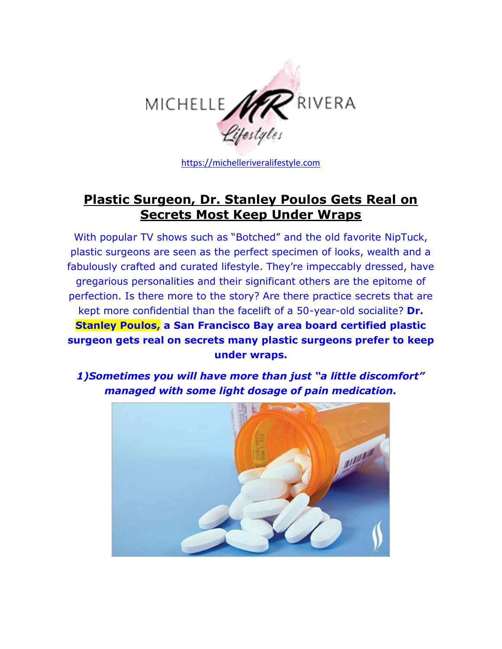

[https://michelleriveralifestyle.com](https://michelleriveralifestyle.com/)

## **[Plastic Surgeon, Dr. Stanley Poulos Gets Real on](https://michelleriveralifestyle.com/plastic-surgeon-dr-stanley-poulos-gets-real-on-secrets-most-keep-under-wraps/)  [Secrets Most Keep Under Wraps](https://michelleriveralifestyle.com/plastic-surgeon-dr-stanley-poulos-gets-real-on-secrets-most-keep-under-wraps/)**

With popular TV shows such as "Botched" and the old favorite NipTuck, plastic surgeons are seen as the perfect specimen of looks, wealth and a fabulously crafted and curated lifestyle. They're impeccably dressed, have gregarious personalities and their significant others are the epitome of perfection. Is there more to the story? Are there practice secrets that are kept more confidential than the facelift of a 50-year-old socialite? **Dr. Stanley Poulos, a San Francisco Bay area board certified plastic surgeon gets real on secrets many plastic surgeons prefer to keep under wraps.**

*1)Sometimes you will have more than just "a little discomfort" managed with some light dosage of pain medication.*

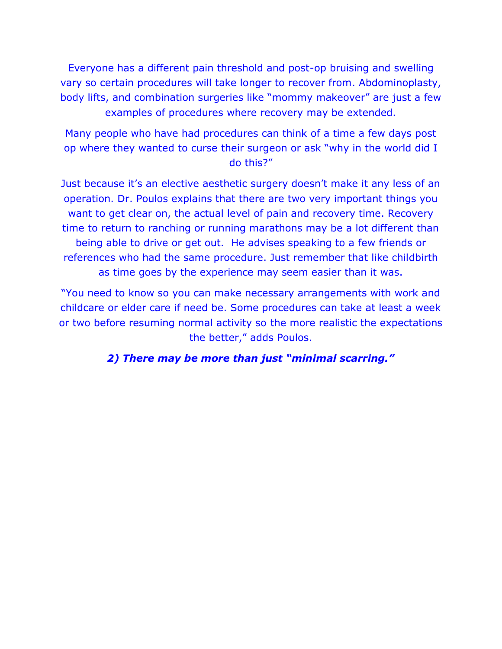Everyone has a different pain threshold and post-op bruising and swelling vary so certain procedures will take longer to recover from. Abdominoplasty, body lifts, and combination surgeries like "mommy makeover" are just a few examples of procedures where recovery may be extended.

Many people who have had procedures can think of a time a few days post op where they wanted to curse their surgeon or ask "why in the world did I do this?"

Just because it's an elective aesthetic surgery doesn't make it any less of an operation. Dr. Poulos explains that there are two very important things you want to get clear on, the actual level of pain and recovery time. Recovery time to return to ranching or running marathons may be a lot different than being able to drive or get out. He advises speaking to a few friends or references who had the same procedure. Just remember that like childbirth as time goes by the experience may seem easier than it was.

"You need to know so you can make necessary arrangements with work and childcare or elder care if need be. Some procedures can take at least a week or two before resuming normal activity so the more realistic the expectations the better," adds Poulos.

*2) There may be more than just "minimal scarring."*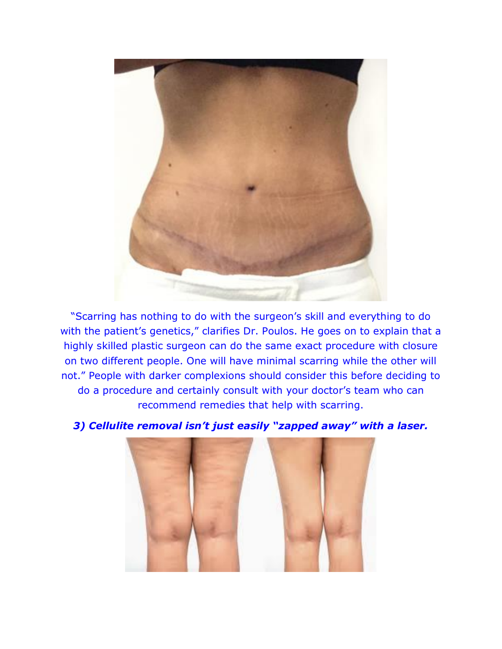

"Scarring has nothing to do with the surgeon's skill and everything to do with the patient's genetics," clarifies Dr. Poulos. He goes on to explain that a highly skilled plastic surgeon can do the same exact procedure with closure on two different people. One will have minimal scarring while the other will not." People with darker complexions should consider this before deciding to do a procedure and certainly consult with your doctor's team who can recommend remedies that help with scarring.



*3) Cellulite removal isn't just easily "zapped away" with a laser.*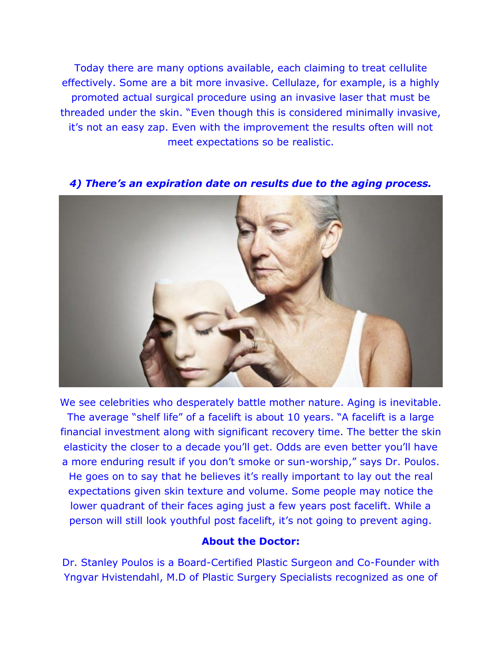Today there are many options available, each claiming to treat cellulite effectively. Some are a bit more invasive. Cellulaze, for example, is a highly promoted actual surgical procedure using an invasive laser that must be threaded under the skin. "Even though this is considered minimally invasive, it's not an easy zap. Even with the improvement the results often will not meet expectations so be realistic.



*4) There's an expiration date on results due to the aging process.*

We see celebrities who desperately battle mother nature. Aging is inevitable. The average "shelf life" of a facelift is about 10 years. "A facelift is a large financial investment along with significant recovery time. The better the skin elasticity the closer to a decade you'll get. Odds are even better you'll have a more enduring result if you don't smoke or sun-worship," says Dr. Poulos. He goes on to say that he believes it's really important to lay out the real expectations given skin texture and volume. Some people may notice the lower quadrant of their faces aging just a few years post facelift. While a person will still look youthful post facelift, it's not going to prevent aging.

## **About the Doctor:**

Dr. Stanley Poulos is a Board-Certified Plastic Surgeon and Co-Founder with Yngvar Hvistendahl, M.D of Plastic Surgery Specialists recognized as one of